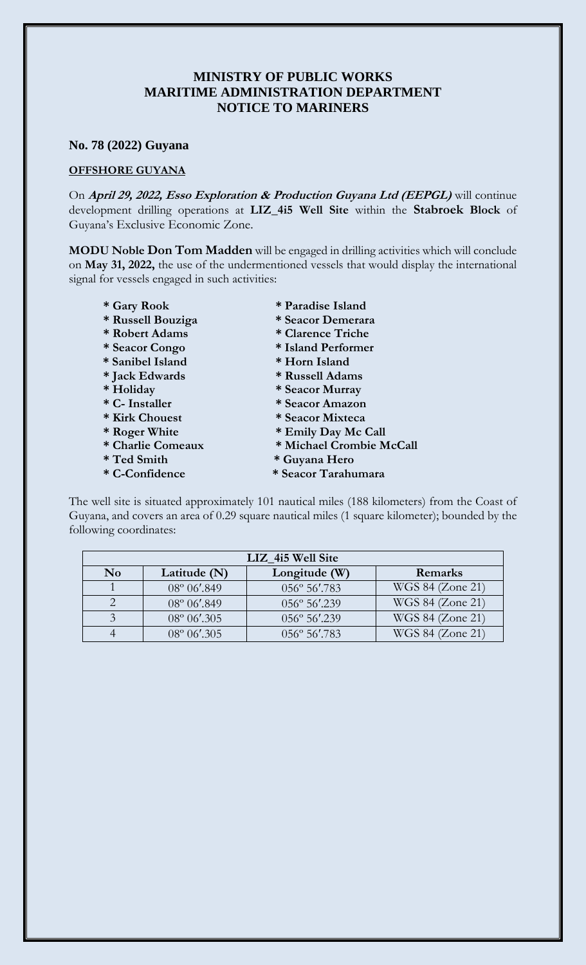## **MINISTRY OF PUBLIC WORKS MARITIME ADMINISTRATION DEPARTMENT NOTICE TO MARINERS**

## **No. 78 (2022) Guyana**

## **OFFSHORE GUYANA**

On **April 29, 2022, Esso Exploration & Production Guyana Ltd (EEPGL)** will continue development drilling operations at **LIZ\_4i5 Well Site** within the **Stabroek Block** of Guyana's Exclusive Economic Zone.

**MODU Noble Don Tom Madden** will be engaged in drilling activities which will conclude on **May 31, 2022,** the use of the undermentioned vessels that would display the international signal for vessels engaged in such activities:

- 
- **\* Russell Bouziga \* Seacor Demerara**
- **\* Robert Adams \* Clarence Triche**
- 
- **\* Sanibel Island \* Horn Island**
- **\* Jack Edwards \* Russell Adams**
- 
- 
- 
- 
- 
- **\* Ted Smith \* Guyana Hero**
- 
- **\* Gary Rook \* Paradise Island**
	-
	-
- **\* Seacor Congo \* Island Performer** 
	-
	-
- **\* Holiday \* Seacor Murray**
- **\* C- Installer \* Seacor Amazon**
- **\* Kirk Chouest \* Seacor Mixteca**
- **\* Roger White \* Emily Day Mc Call**
- **\* Charlie Comeaux \* Michael Crombie McCall** 
	-
- **\* C-Confidence \* Seacor Tarahumara**

The well site is situated approximately 101 nautical miles (188 kilometers) from the Coast of Guyana, and covers an area of 0.29 square nautical miles (1 square kilometer); bounded by the following coordinates:

| LIZ 4i5 Well Site |                       |                        |                  |
|-------------------|-----------------------|------------------------|------------------|
| N <sub>0</sub>    | Latitude (N)          | Longitude (W)          | Remarks          |
|                   | $08^{\circ} 06'$ .849 | 056° 56'.783           | WGS 84 (Zone 21) |
|                   | $08^{\circ} 06'$ .849 | $056^{\circ} 56'$ .239 | WGS 84 (Zone 21) |
|                   | $08^{\circ} 06'$ .305 | 056° 56'.239           | WGS 84 (Zone 21) |
|                   | $08^{\circ} 06'$ .305 | 056° 56'.783           | WGS 84 (Zone 21) |